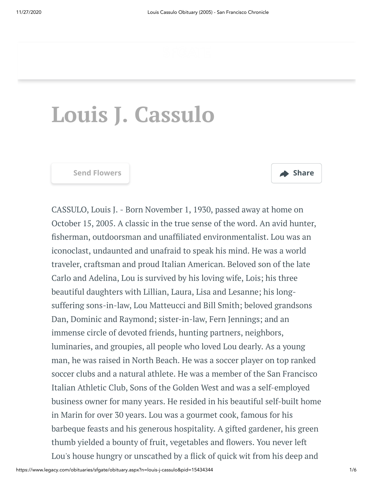# **Louis J. Cassulo**



CASSULO, Louis J. - Born November 1, 1930, passed away at home on October 15, 2005. A classic in the true sense of the word. An avid hunter, fisherman, outdoorsman and unaffiliated environmentalist. Lou was an iconoclast, undaunted and unafraid to speak his mind. He was a world traveler, craftsman and proud Italian American. Beloved son of the late Carlo and Adelina, Lou is survived by his loving wife, Lois; his three beautiful daughters with Lillian, Laura, Lisa and Lesanne; his longsuffering sons-in-law, Lou Matteucci and Bill Smith; beloved grandsons Dan, Dominic and Raymond; sister-in-law, Fern Jennings; and an immense circle of devoted friends, hunting partners, neighbors, luminaries, and groupies, all people who loved Lou dearly. As a young man, he was raised in North Beach. He was a soccer player on top ranked soccer clubs and a natural athlete. He was a member of the San Francisco Italian Athletic Club, Sons of the Golden West and was a self-employed business owner for many years. He resided in his beautiful self-built home in Marin for over 30 years. Lou was a gourmet cook, famous for his barbeque feasts and his generous hospitality. A gifted gardener, his green thumb yielded a bounty of fruit, vegetables and flowers. You never left Lou's house hungry or unscathed by a flick of quick wit from his deep and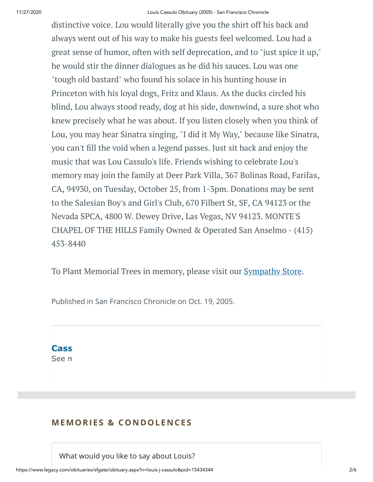distinctive voice. Lou would literally give you the shirt off his back and always went out of his way to make his guests feel welcomed. Lou had a great sense of humor, often with self deprecation, and to "just spice it up," he would stir the dinner dialogues as he did his sauces. Lou was one "tough old bastard" who found his solace in his hunting house in Princeton with his loyal dogs, Fritz and Klaus. As the ducks circled his blind, Lou always stood ready, dog at his side, downwind, a sure shot who knew precisely what he was about. If you listen closely when you think of Lou, you may hear Sinatra singing, "I did it My Way," because like Sinatra, you can't fill the void when a legend passes. Just sit back and enjoy the music that was Lou Cassulo's life. Friends wishing to celebrate Lou's memory may join the family at Deer Park Villa, 367 Bolinas Road, Farifax, CA, 94930, on Tuesday, October 25, from 1-3pm. Donations may be sent to the Salesian Boy's and Girl's Club, 670 Filbert St, SF, CA 94123 or the Nevada SPCA, 4800 W. Dewey Drive, Las Vegas, NV 94123. MONTE'S CHAPEL OF THE HILLS Family Owned & Operated San Anselmo - (415) 453-8440

To Plant Memorial Trees in memory, please visit our [Sympathy](https://sympathy.legacy.com/en-us/funeral-flowers/name/louis-cassulo-funeral-flowers/p15434344/?affiliateId=662&pm=240) Store.

Published in San Francisco Chronicle on Oct. 19, 2005.



# **MEMORIES & CO N DOLE N CES**

What would you like to say about Louis?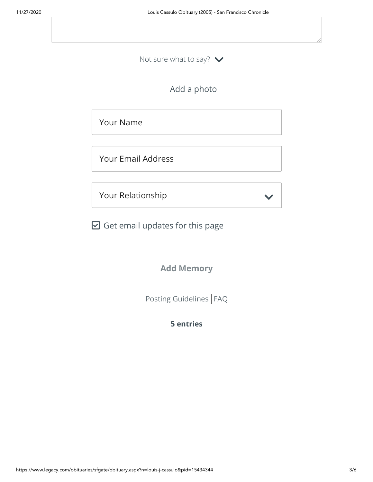Not sure what to say?  $\blacktriangleright$ 

Add a photo

Your Name

Your Email Address

Your Relationship

 $\boxdot$  Get email updates for this page

**Add Memory**

[Posting Guidelines](https://www.legacy.com/guestbooks/posting-guidelines.aspx?n=Louis-Cassulo&pid=15434344) | [FAQ](https://www.legacy.com/guestbooks/faq.aspx?n=Louis-Cassulo&pid=15434344)

**5 entries**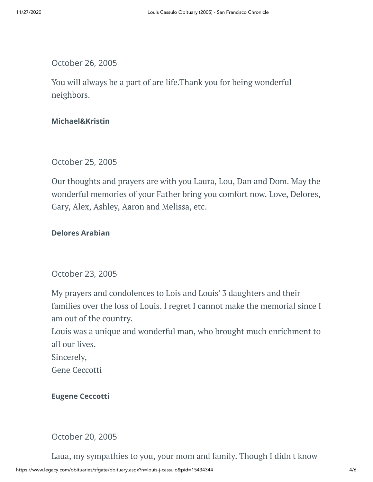October 26, 2005

You will always be a part of are life.Thank you for being wonderful neighbors.

### **Michael&Kristin**

October 25, 2005

Our thoughts and prayers are with you Laura, Lou, Dan and Dom. May the wonderful memories of your Father bring you comfort now. Love, Delores, Gary, Alex, Ashley, Aaron and Melissa, etc.

### **Delores Arabian**

October 23, 2005

My prayers and condolences to Lois and Louis' 3 daughters and their families over the loss of Louis. I regret I cannot make the memorial since I am out of the country.

Louis was a unique and wonderful man, who brought much enrichment to all our lives.

Sincerely,

Gene Ceccotti

**Eugene Ceccotti**

October 20, 2005

Laua, my sympathies to you, your mom and family. Though I didn't know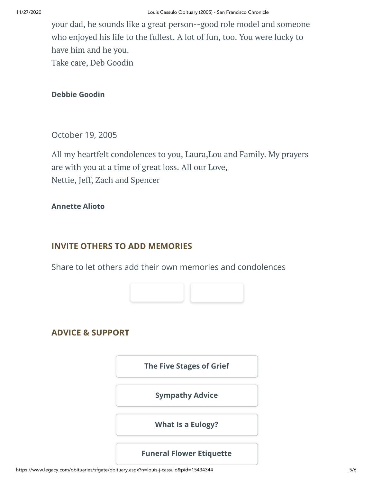your dad, he sounds like a great person--good role model and someone who enjoyed his life to the fullest. A lot of fun, too. You were lucky to have him and he you. Take care, Deb Goodin

**Debbie Goodin**

October 19, 2005

All my heartfelt condolences to you, Laura,Lou and Family. My prayers are with you at a time of great loss. All our Love, Nettie, Jeff, Zach and Spencer

#### **Annette Alioto**

# **INVITE OTHERS TO ADD MEMORIES**

Share to let others add their own memories and condolences



# **ADVICE & SUPPORT**

**[The Five Stages of Grief](https://www.legacy.com/news/advice-and-support/article/the-five-stages-of-grief)**

**[Sympathy Advice](https://www.legacy.com/news/advice-and-support/article/sympathy-and-condolence-advice)**

**[What Is a Eulogy?](https://www.legacy.com/news/advice-and-support/article/what-is-a-eulogy)**

#### **[Funeral Flower Etiquette](https://sympathy.legacy.com//en-us/funeral-flowers/article/funeral-flower-etiquette/)**